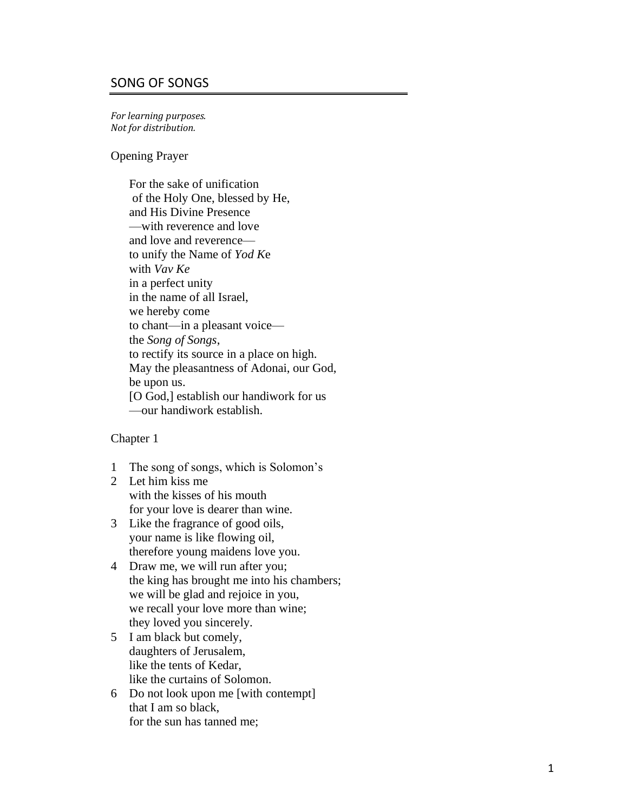# SONG OF SONGS

*For learning purposes. Not for distribution .*

Opening Prayer

For the sake of unification of the Holy One, blessed by He, and His Divine Presence —with reverence and love and love and reverence to unify the Name of *Yod K*e with *Vav Ke* in a perfect unity in the name of all Israel, we hereby come to chant—in a pleasant voice the *Song of Songs*, to rectify its source in a place on high. May the pleasantness of Adonai, our God, be upon us. [O God,] establish our handiwork for us —our handiwork establish.

- 1 The song of songs, which is Solomon's
- 2 Let him kiss me with the kisses of his mouth for your love is dearer than wine.
- 3 Like the fragrance of good oils, your name is like flowing oil, therefore young maidens love you.
- 4 Draw me, we will run after you; the king has brought me into his chambers; we will be glad and rejoice in you, we recall your love more than wine; they loved you sincerely.
- 5 I am black but comely, daughters of Jerusalem, like the tents of Kedar, like the curtains of Solomon.
- 6 Do not look upon me [with contempt] that I am so black, for the sun has tanned me;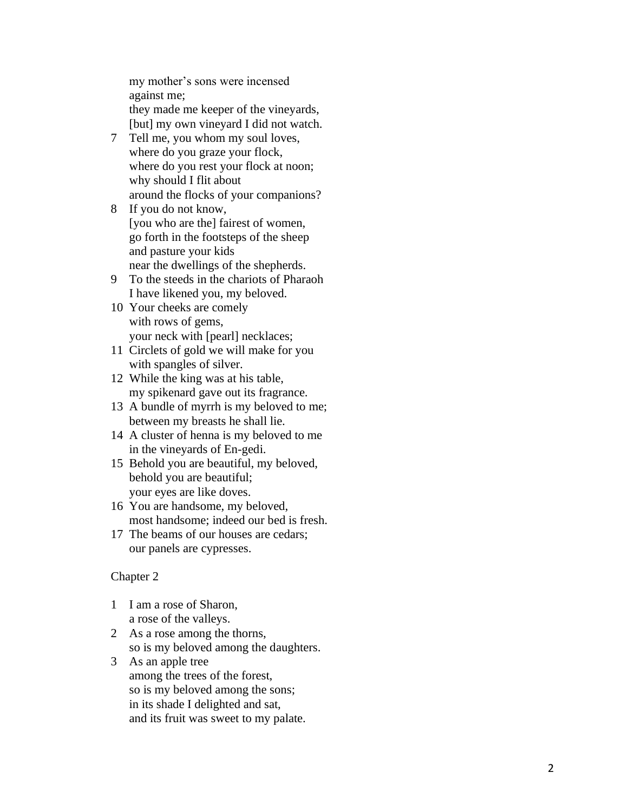my mother's sons were incensed against me; they made me keeper of the vineyards, [but] my own vineyard I did not watch.

- 7 Tell me, you whom my soul loves, where do you graze your flock, where do you rest your flock at noon; why should I flit about around the flocks of your companions?
- 8 If you do not know, [you who are the] fairest of women, go forth in the footsteps of the sheep and pasture your kids near the dwellings of the shepherds.
- 9 To the steeds in the chariots of Pharaoh I have likened you, my beloved.
- 10 Your cheeks are comely with rows of gems, your neck with [pearl] necklaces;
- 11 Circlets of gold we will make for you with spangles of silver.
- 12 While the king was at his table, my spikenard gave out its fragrance.
- 13 A bundle of myrrh is my beloved to me; between my breasts he shall lie.
- 14 A cluster of henna is my beloved to me in the vineyards of En -gedi.
- 15 Behold you are beautiful, my beloved, behold you are beautiful; your eyes are like doves.
- 16 You are handsome, my beloved, most handsome; indeed our bed is fresh.
- 17 The beams of our houses are cedars; our panels are cypresses.

- 1 I am a rose of Sharon, a rose of the valleys.
- 2 As a rose among the thorns, so is my beloved among the daughters.
- 3 As an apple tree among the trees of the forest, so is my beloved among the sons; in its shade I delighted and sat, and its fruit was sweet to my palate.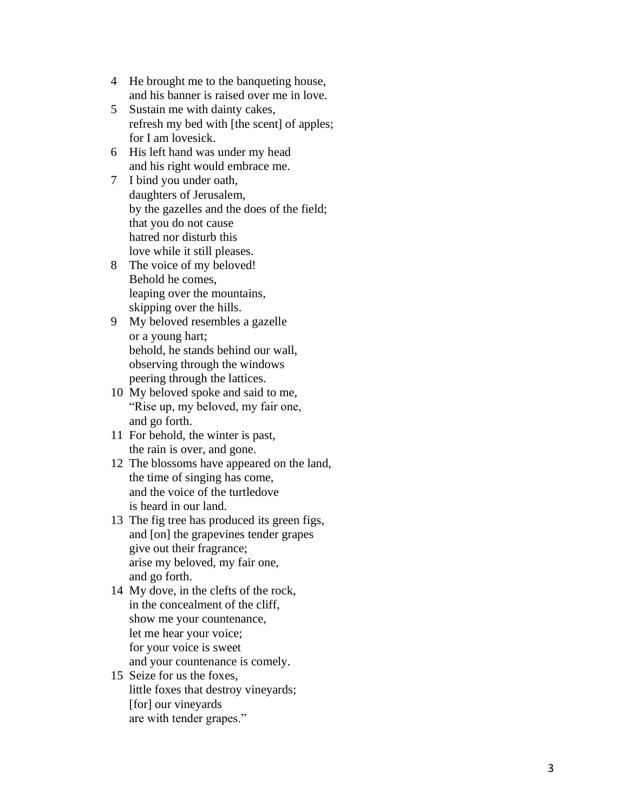- 4 He brought me to the banqueting house, and his banner is raised over me in love.
- 5 Sustain me with dainty cakes, refresh my bed with [the scent] of apples; for I am lovesick.
- 6 His left hand was under my head and his right would embrace me.
- 7 I bind you under oath, daughters of Jerusalem, by the gazelles and the does of the field; that you do not cause hatred nor disturb this love while it still pleases.
- 8 The voice of my beloved! Behold he comes, leaping over the mountains, skipping over the hills.
- 9 My beloved resembles a gazelle or a young hart; behold, he stands behind our wall, observing through the windows peering through the lattices.
- 10 My beloved spoke and said to me, "Rise up, my beloved, my fair one, and go forth.
- 11 For behold, the winter is past, the rain is over, and gone.
- 12 The blossoms have appeared on the land, the time of singing has come, and the voice of the turtledove is heard in our land.
- 13 The fig tree has produced its green figs, and [on] the grapevines tender grapes give out their fragrance; arise my beloved, my fair one, and go forth.
- 14 My dove, in the clefts of the rock, in the concealment of the cliff, show me your countenance, let me hear your voice; for your voice is sweet and your countenance is comely.
- 15 Seize for us the foxes, little foxes that destroy vineyards; [for] our vineyards are with tender grapes."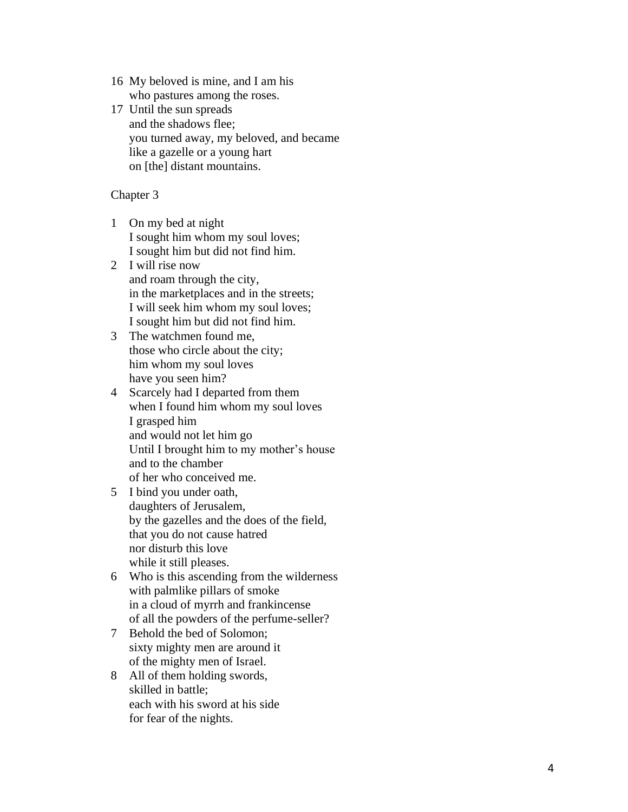- 16 My beloved is mine, and I am his who pastures among the roses.
- 1 7 Until the sun spreads and the shadows flee; you turned away, my beloved, and became like a gazelle or a young hart on [the] distant mountains.

- 1 On my bed at night I sought him whom my soul loves; I sought him but did not find him.
- 2 I will rise now and roam through the city, in the marketplaces and in the streets; I will seek him whom my soul loves; I sought him but did not find him.
- 3 The watchmen found me, those who circle about the city; him whom my soul loves have you seen him?
- 4 Scarcely had I departed from them when I found him whom my soul loves I grasped him and would not let him go Until I brought him to my mother's house and to the chamber of her who conceived me.
- 5 I bind you under oath, daughters of Jerusalem, by the gazelles and the does of the field, that you do not cause hatred nor disturb this love while it still pleases.
- 6 Who is this ascending from the wilderness with palmlike pillars of smoke in a cloud of myrrh and frankincense of all the powders of the perfume -seller?
- 7 Behold the bed of Solomon; sixty mighty men are around it of the mighty men of Israel.
- 8 All of them holding swords, skilled in battle; each with his sword at his side for fear of the nights.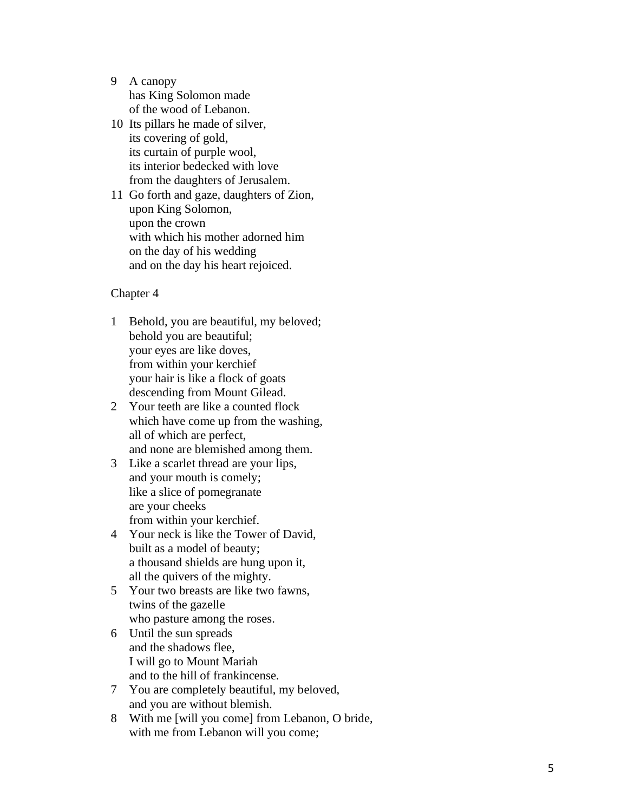- 9 A canopy has King Solomon made of the wood of Lebanon.
- 10 Its pillars he made of silver, its covering of gold, its curtain of purple wool, its interior bedecked with love from the daughters of Jerusalem.
- 11 Go forth and gaze, daughters of Zion, upon King Solomon, upon the crown with which his mother adorned him on the day of his wedding and on the day his heart rejoiced.

- 1 Behold, you are beautiful, my beloved; behold you are beautiful; your eyes are like doves, from within your kerchief your hair is like a flock of goats descending from Mount Gilead.
- 2 Your teeth are like a counted flock which have come up from the washing, all of which are perfect, and none are blemished among them.
- 3 Like a scarlet thread are your lips, and your mouth is comely; like a slice of pomegranate are your cheeks from within your kerchief.
- 4 Your neck is like the Tower of David, built as a model of beauty; a thousand shields are hung upon it, all the quivers of the mighty.
- 5 Your two breasts are like two fawns, twins of the gazelle who pasture among the roses.
- 6 Until the sun spreads and the shadows flee, I will go to Mount Mariah and to the hill of frankincense.
- 7 You are completely beautiful, my beloved, and you are without blemish.
- 8 With me [will you come] from Lebanon, O bride, with me from Lebanon will you come;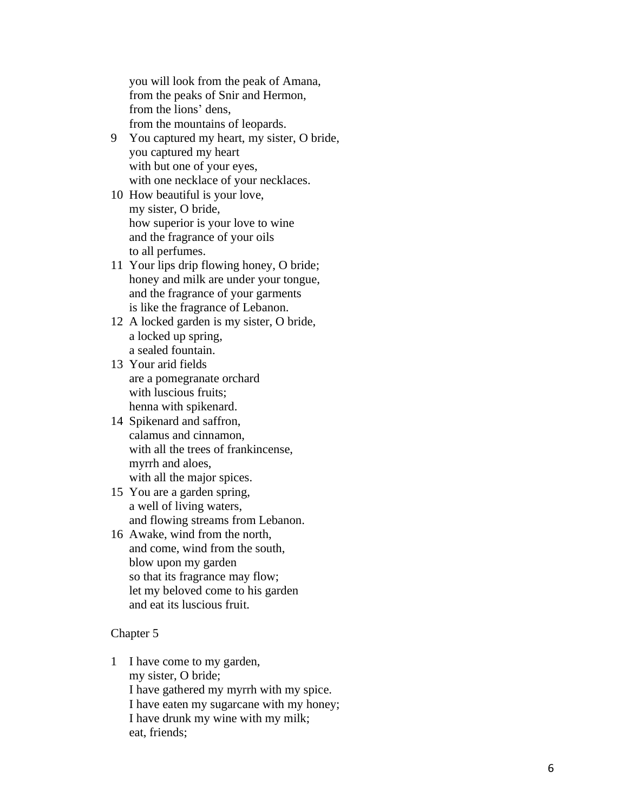you will look from the peak of Amana, from the peaks of Snir and Hermon, from the lions ' dens, from the mountains of leopards.

- 9 You captured my heart, my sister, O bride , you captured my heart with but one of your eyes, with one necklace of your necklaces.
- 10 How beautiful is your love, my sister, O bride, how superior is your love to wine and the fragrance of your oils to all perfumes.
- 11 Your lips drip flowing honey, O bride; honey and milk are under your tongue, and the fragrance of your garments is like the fragrance of Lebanon.
- 12 A locked garden is my sister, O bride, a locked up spring, a sealed fountain.
- 13 Your arid fields are a pomegranate orchard with luscious fruits; henna with spikenard.
- 14 Spikenard and saffron, calamus and cinnamon, with all the trees of frankincense, myrrh and aloes, with all the major spices.
- 15 You are a garden spring, a well of living waters, and flowing streams from Lebanon.
- 16 Awake, wind from the north, and come, wind from the south, blow upon my garden so that its fragrance may flow; let my beloved come to his garden and eat its luscious fruit.

### Chapter 5

1 I have come to my garden, my sister, O bride; I have gathered my myrrh with my spice. I have eaten my sugarcane with my honey; I have drunk my wine with my milk; eat, friends;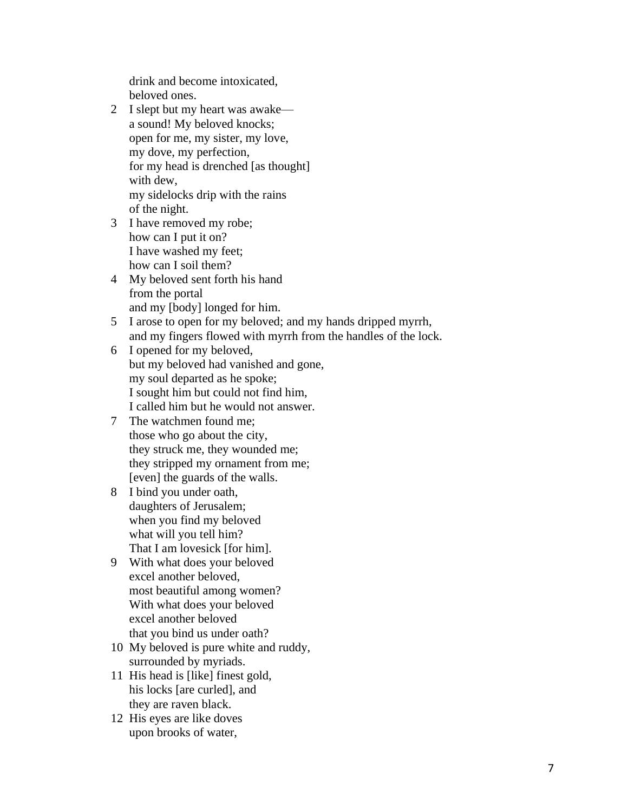drink and become intoxicated, beloved ones.

- 2 I slept but my heart was awake a sound! My beloved knocks; open for me, my sister, my love, my dove, my perfection, for my head is drenched [as thought] with dew, my sidelocks drip with the rains of the night.
- 3 I have removed my robe; how can I put it on? I have washed my feet; how can I soil them?
- 4 My beloved sent forth his hand from the portal and my [body] longed for him.
- 5 I arose to open for my beloved; and my hands dripped myrrh, and my fingers flowed with myrrh from the handles of the lock.
- 6 I opened for my beloved, but my beloved had vanished and gone, my soul departed as he spoke; I sought him but could not find him, I called him but he would not answer.
- 7 The watchmen found me; those who go about the city, they struck me, they wounded me; they stripped my ornament from me; [even] the guards of the walls.
- 8 I bind you under oath, daughters of Jerusalem; when you find my beloved what will you tell him? That I am lovesick [for him].
- 9 With what does your beloved excel another beloved, most beautiful among women? With what does your beloved excel another beloved that you bind us under oath?
- 10 My beloved is pure white and ruddy, surrounded by myriads.
- 11 His head is [like] finest gold, his locks [are curled], and they are raven black.
- 12 His eyes are like doves upon brooks of water,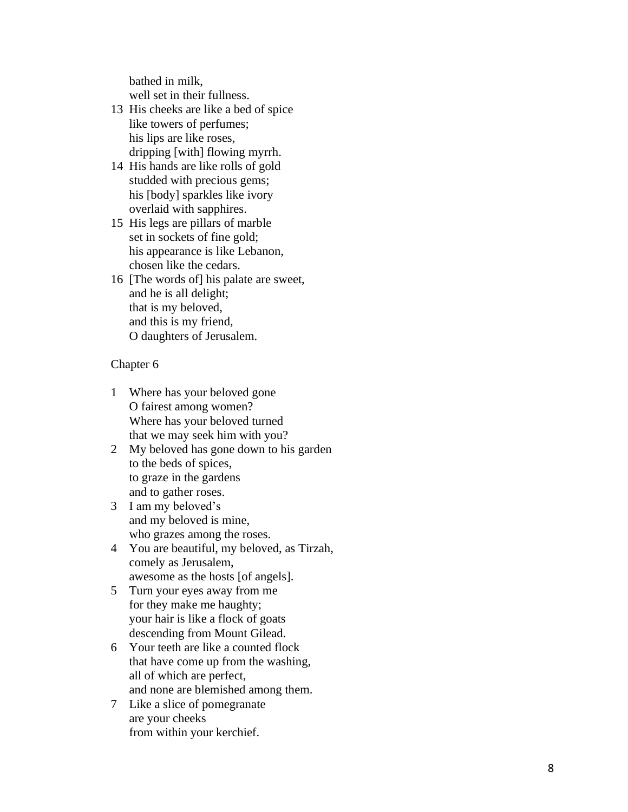bathed in milk, well set in their fullness.

- 13 His cheeks are like a bed of spice like towers of perfumes; his lips are like roses, dripping [with] flowing myrrh.
- 14 His hands are like rolls of gold studded with precious gems; his [body] sparkles like ivory overlaid with sapphires.
- 15 His legs are pillars of marble set in sockets of fine gold; his appearance is like Lebanon, chosen like the cedars.
- 16 [The words of] his palate are sweet, and he is all delight; that is my beloved, and this is my friend, O daughters of Jerusalem.

- 1 Where has your beloved gone O fairest among women? Where has your beloved turned that we may seek him with you?
- 2 My beloved has gone down to his garden to the beds of spices, to graze in the gardens and to gather roses.
- 3 I am my beloved's and my beloved is mine, who grazes among the roses.
- 4 You are beautiful, my beloved, as Tirzah, comely as Jerusalem, awesome as the hosts [of angels].
- 5 Turn your eyes away from me for they make me haughty; your hair is like a flock of goats descending from Mount Gilead.
- 6 Your teeth are like a counted flock that have come up from the washing, all of which are perfect, and none are blemished among them.
- 7 Like a slice of pomegranate are your cheeks from within your kerchief.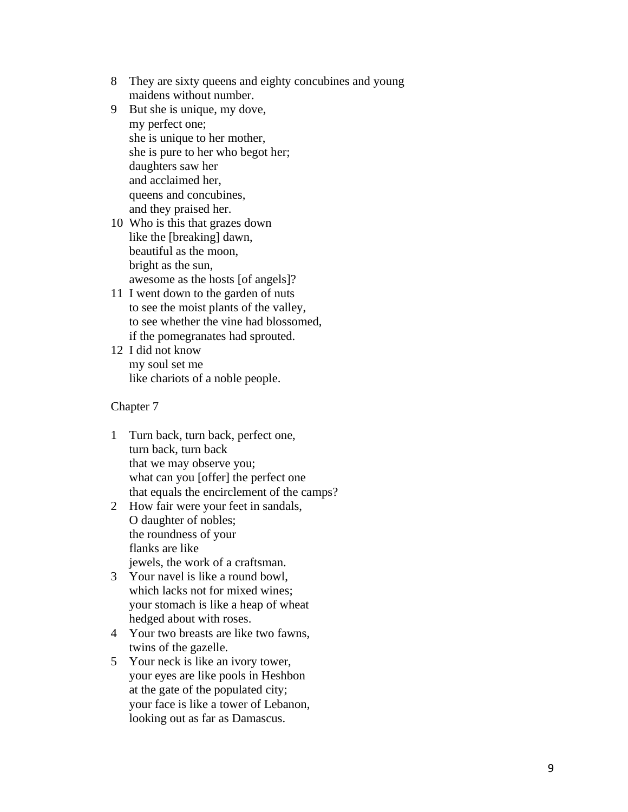- 8 They are sixty queens and eighty concubines and young maidens without number.
- 9 But she is unique, my dove, my perfect one; she is unique to her mother, she is pure to her who begot her; daughters saw her and acclaimed her, queens and concubines, and they praised her.
- 10 Who is this that grazes down like the [breaking] dawn, beautiful as the moon, bright as the sun, awesome as the hosts [of angels]?
- 11 I went down to the garden of nuts to see the moist plants of the valley, to see whether the vine had blossomed, if the pomegranates had sprouted.
- 12 I did not know my soul set me like chariots of a noble people.

- 1 Turn back, turn back, perfect one, turn back, turn back that we may observe you; what can you [offer] the perfect one that equals the encirclement of the camps?
- 2 How fair were your feet in sandals, O daughter of nobles; the roundness of your flanks are like jewels, the work of a craftsman.
- 3 Your navel is like a round bowl , which lacks not for mixed wines; your stomach is like a heap of wheat hedged about with roses.
- 4 Your two breasts are like two fawns, twins of the gazelle.
- 5 Your neck is like an ivory tower, your eyes are like pools in Heshbon at the gate of the populated city; your face is like a tower of Lebanon, looking out as far as Damascus.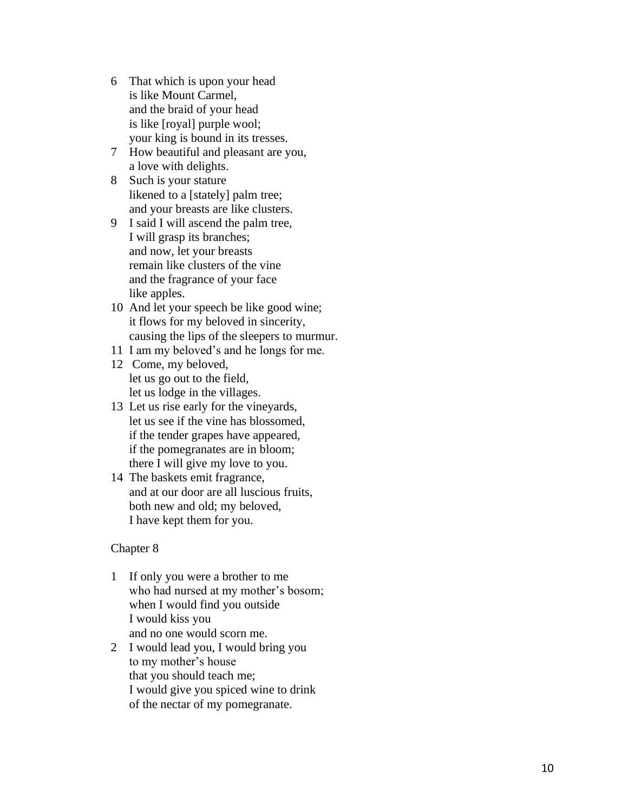- 6 That which is upon your head is like Mount Carmel, and the braid of your head is like [royal] purple wool; your king is bound in its tresses.
- 7 How beautiful and pleasant are you, a love with delights.
- 8 Such is your stature likened to a [stately] palm tree; and your breasts are like clusters.
- 9 I said I will ascend the palm tree, I will grasp its branches; and now, let your breasts remain like clusters of the vine and the fragrance of your face like apples.
- 10 And let your speech be like good wine; it flows for my beloved in sincerity, causing the lips of the sleepers to murmur.
- 11 I am my beloved's and he longs for me.
- 12 Come, my beloved, let us go out to the field, let us lodge in the villages.
- 13 Let us rise early for the vineyards, let us see if the vine has blossomed, if the tender grapes have appeared, if the pomegranates are in bloom; there I will give my love to you.
- 14 The baskets emit fragrance, and at our door are all luscious fruits, both new and old; my beloved, I have kept them for you.

- 1 If only you were a brother to me who had nursed at my mother's bosom; when I would find you outside I would kiss you and no one would scorn me.
- 2 I would lead you, I would bring you to my mother's house that you should teach me; I would give you spiced wine to drink of the nectar of my pomegranate.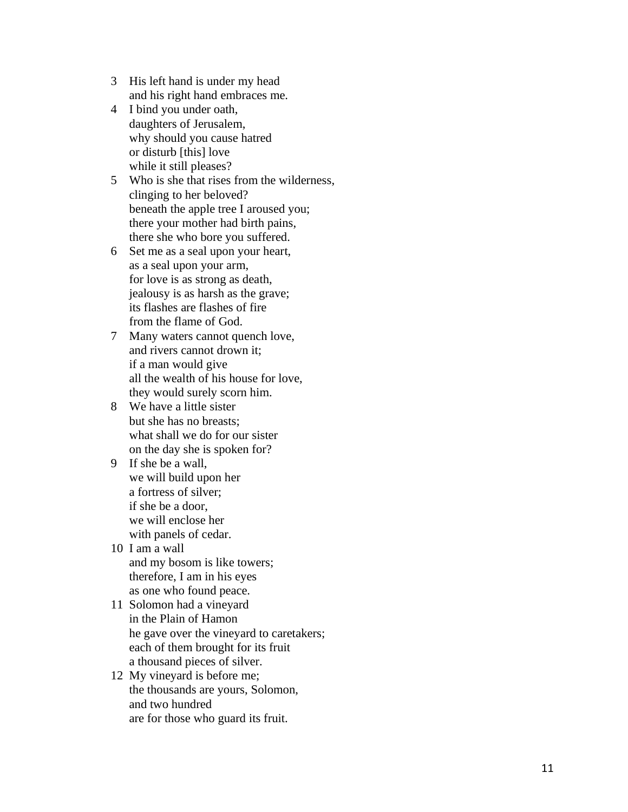- 3 His left hand is under my head and his right hand embraces me.
- 4 I bind you under oath, daughters of Jerusalem, why should you cause hatred or disturb [this] love while it still pleases?
- 5 Who is she that rises from the wilderness, clinging to her beloved? beneath the apple tree I aroused you; there your mother had birth pains, there she who bore you suffered.
- 6 Set me as a seal upon your heart, as a seal upon your arm, for love is as strong as death, jealousy is as harsh as the grave; its flashes are flashes of fire from the flame of God.
- 7 Many waters cannot quench love, and rivers cannot drown it; if a man would give all the wealth of his house for love, they would surely scorn him.
- 8 We have a little sister but she has no breasts; what shall we do for our sister on the day she is spoken for?
- 9 If she be a wall, we will build upon her a fortress of silver; if she be a door, we will enclose her with panels of cedar.
- 10 I am a wall and my bosom is like towers; therefore, I am in his eyes as one who found peace.
- 11 Solomon had a vineyard in the Plain of Hamon he gave over the vineyard to caretakers; each of them brought for its fruit a thousand pieces of silver.
- 12 My vineyard is before me; the thousands are yours, Solomon, and two hundred are for those who guard its fruit.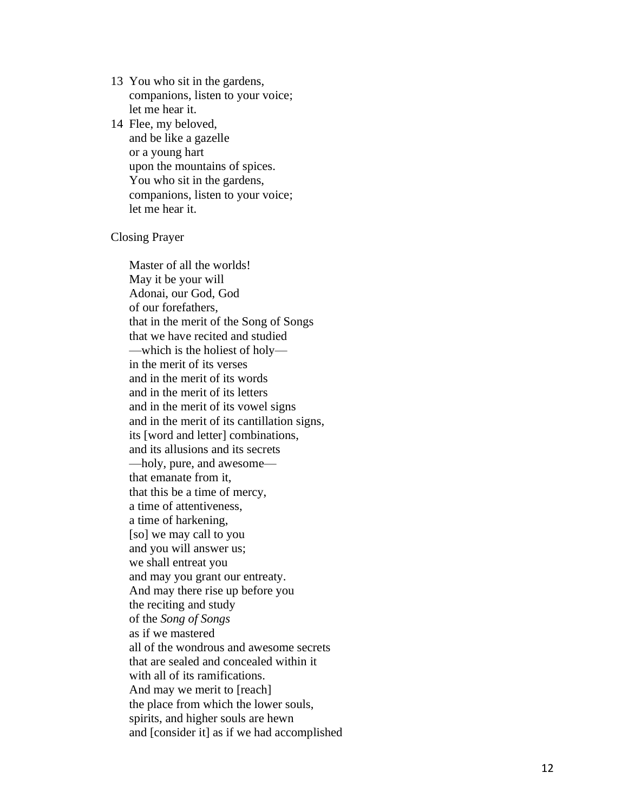13 You who sit in the gardens, companions, listen to your voice; let me hear it.

14 Flee, my beloved, and be like a gazelle or a young hart upon the mountains of spices. You who sit in the gardens, companions, listen to your voice; let me hear it.

### Closing Prayer

Master of all the worlds! May it be your will Adonai, our God, God of our forefathers, that in the merit of the Song of Songs that we have recited and studied —which is the holiest of holy in the merit of its verses and in the merit of its words and in the merit of its letters and in the merit of its vowel signs and in the merit of its cantillation signs, its [word and letter] combinations, and its allusions and its secrets —holy, pure, and awesome that emanate from it, that this be a time of mercy, a time of attentiveness, a time of harkening, [so] we may call to you and you will answer us; we shall entreat you and may you grant our entreaty. And may there rise up before you the reciting and study of the *Song of Songs* as if we mastered all of the wondrous and awesome secrets that are sealed and concealed within it with all of its ramifications. And may we merit to [reach] the place from which the lower souls, spirits, and higher souls are hewn and [consider it] as if we had accomplished